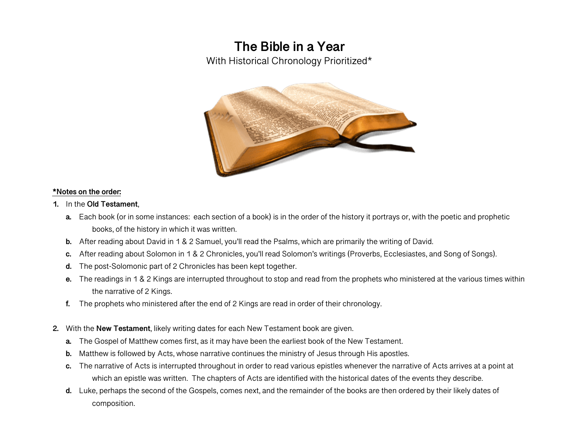# **The Bible in a Year**

With Historical Chronology Prioritized\*



#### **\*Notes on the order:**

- **1.** In the **Old Testament**,
	- **a.** Each book (or in some instances: each section of a book) is in the order of the history it portrays or, with the poetic and prophetic books, of the history in which it was written.
	- **b.** After reading about David in 1 & 2 Samuel, you'll read the Psalms, which are primarily the writing of David.
	- **c.** After reading about Solomon in 1 & 2 Chronicles, you'll read Solomon's writings (Proverbs, Ecclesiastes, and Song of Songs).
	- **d.** The post-Solomonic part of 2 Chronicles has been kept together.
	- **e.** The readings in 1 & 2 Kings are interrupted throughout to stop and read from the prophets who ministered at the various times within the narrative of 2 Kings.
	- **f.** The prophets who ministered after the end of 2 Kings are read in order of their chronology.
- **2.** With the **New Testament**, likely writing dates for each New Testament book are given.
	- **a.** The Gospel of Matthew comes first, as it may have been the earliest book of the New Testament.
	- **b.** Matthew is followed by Acts, whose narrative continues the ministry of Jesus through His apostles.
	- **c.** The narrative of Acts is interrupted throughout in order to read various epistles whenever the narrative of Acts arrives at a point at which an epistle was written. The chapters of Acts are identified with the historical dates of the events they describe.
	- **d.** Luke, perhaps the second of the Gospels, comes next, and the remainder of the books are then ordered by their likely dates of composition.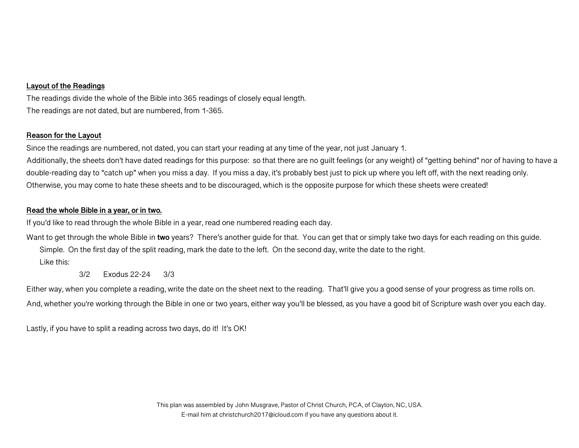### **Layout of the Readings**

The readings divide the whole of the Bible into 365 readings of closely equal length. The readings are not dated, but are numbered, from 1-365.

#### **Reason for the Layout**

Since the readings are numbered, not dated, you can start your reading at any time of the year, not just January 1. Additionally, the sheets don't have dated readings for this purpose: so that there are no guilt feelings (or any weight) of "getting behind" nor of having to have a double-reading day to "catch up" when you miss a day. If you miss a day, it's probably best just to pick up where you left off, with the next reading only. Otherwise, you may come to hate these sheets and to be discouraged, which is the opposite purpose for which these sheets were created!

## **Read the whole Bible in a year, or in two.**

If you'd like to read through the whole Bible in a year, read one numbered reading each day.

Want to get through the whole Bible in **two** years? There's another guide for that. You can get that or simply take two days for each reading on this guide. Simple. On the first day of the split reading, mark the date to the left. On the second day, write the date to the right.

Like this:

3/2 Exodus 22-24 3/3

Either way, when you complete a reading, write the date on the sheet next to the reading. That'll give you a good sense of your progress as time rolls on. And, whether you're working through the Bible in one or two years, either way you'll be blessed, as you have a good bit of Scripture wash over you each day.

Lastly, if you have to split a reading across two days, do it! It's OK!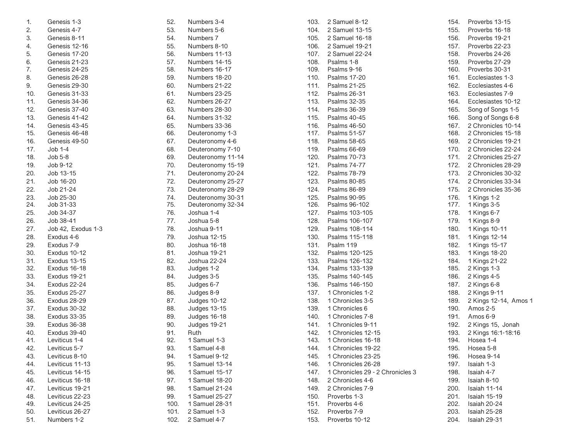| 1.  | Genesis 1-3        |  |
|-----|--------------------|--|
| 2.  | Genesis 4-7        |  |
| 3.  | Genesis 8-11       |  |
| 4.  | Genesis 12-16      |  |
| 5.  | Genesis 17-20      |  |
| 6.  | Genesis 21-23      |  |
| 7.  | Genesis 24-25      |  |
| 8.  | Genesis 26-28      |  |
| 9.  | Genesis 29-30      |  |
| 10. | Genesis 31-33      |  |
| 11. | Genesis 34-36      |  |
| 12. | Genesis 37-40      |  |
| 13. | Genesis 41-42      |  |
| 14. | Genesis 43-45      |  |
| 15. | Genesis 46-48      |  |
| 16. | Genesis 49-50      |  |
| 17. | Job 1-4            |  |
| 18. | Job 5-8            |  |
| 19. | Job 9-12           |  |
| 20. | Job 13-15          |  |
| 21. | Job 16-20          |  |
| 22. | Job 21-24          |  |
| 23. | Job 25-30          |  |
| 24. | Job 31-33          |  |
| 25. | Job 34-37          |  |
| 26. | Job 38-41          |  |
| 27. | Job 42, Exodus 1-3 |  |
| 28. | Exodus 4-6         |  |
| 29. | Exodus 7-9         |  |
| 30. | Exodus 10-12       |  |
| 31. | Exodus 13-15       |  |
| 32. | Exodus 16-18       |  |
| 33. | Exodus 19-21       |  |
| 34. | Exodus 22-24       |  |
| 35. | Exodus 25-27       |  |
| 36. | Exodus 28-29       |  |
| 37. | Exodus 30-32       |  |
| 38. | Exodus 33-35       |  |
| 39. | Exodus 36-38       |  |
| 40. | Exodus 39-40       |  |
| 41. | Leviticus 1-4      |  |
| 42. | Leviticus 5-7      |  |
| 43. | Leviticus 8-10     |  |
| 44. | Leviticus 11-13    |  |
| 45. | Leviticus 14-15    |  |
| 46. | Leviticus 16-18    |  |
| 47. | Leviticus 19-21    |  |
| 48. | Leviticus 22-23    |  |
| 49. | Leviticus 24-25    |  |
| 50. | Leviticus 26-27    |  |
| 51. | Numbers 1-2        |  |

| 52.        | Numbers 3-4                      |
|------------|----------------------------------|
| 53.        | Numbers 5-6                      |
| 54.        | Numbers 7                        |
| 55.        | Numbers 8-10                     |
| 56.        | Numbers 11-13                    |
| 57.        | Numbers 14-15                    |
| 58.        | Numbers 16-17                    |
| 59.        | Numbers 18-20                    |
| 60.        | Numbers 21-22                    |
| 61.        | Numbers 23-25                    |
| 62.        | Numbers 26-27                    |
| 63.        | Numbers 28-30                    |
| 64.        | Numbers 31-32                    |
| 65.        | Numbers 33-36                    |
| 66.        | Deuteronomy 1-3                  |
| 67.        | Deuteronomy 4-6                  |
| 68.        | Deuteronomy 7-10                 |
| 69.        | Deuteronomy 11-14                |
| 70.        | Deuteronomy 15-19                |
| 71.        | Deuteronomy 20-24                |
| 72.        | Deuteronomy 25-27                |
| 73.        | Deuteronomy 28-29                |
| 74.        | Deuteronomy 30-31                |
| 75.        | Deuteronomy 32-34                |
| 76.        | Joshua 1-4                       |
| 77.        | Joshua 5-8                       |
| 78.        | Joshua 9-11                      |
| 79.        | Joshua 12-15                     |
| 80.        | Joshua 16-18                     |
| 81.        | Joshua 19-21                     |
| 82.        | Joshua 22-24                     |
| 83.        | Judges 1-2                       |
| 84.        | Judges 3-5                       |
| 85.        | Judges 6-7                       |
| 86.        | Judges 8-9                       |
| 87.        | Judges 10-12                     |
| 88.        | Judges 13-15                     |
| 89.        | Judges 16-18                     |
| 90.        | Judges 19-21                     |
| 91.        | Ruth                             |
| 92.        | 1 Samuel 1-3                     |
| 93.        | 1 Samuel 4-8                     |
| 94.        | 1 Samuel 9-12<br>1 Samuel 13-14  |
| 95.<br>96. | Samuel 15-17                     |
|            | 1.                               |
| 97.<br>98. | 1 Samuel 18-20                   |
| 99.        | 1 Samuel 21-24<br>1 Samuel 25-27 |
| 100.       | 1 Samuel 28-31                   |
| 101.       | 2 Samuel 1-3                     |
| 102.       | 2 Samuel 4-7                     |
|            |                                  |

| 103.         | 2 Samuel 8-12                    |
|--------------|----------------------------------|
| 104.         | 2 Samuel 13-15                   |
| 105.         | 2 Samuel 16-18                   |
| 106.         | 2 Samuel 19-21                   |
| 107.         | 2 Samuel 22-24                   |
| 108.         | Psalms 1-8                       |
| 109.         | Psalms 9-16                      |
| 110.         | Psalms 17-20                     |
| 111.         | Psalms 21-25                     |
| 112.         | Psalms 26-31                     |
| 113.         | Psalms 32-35                     |
| 114.         | Psalms 36-39                     |
| 115.         | Psalms 40-45                     |
| 116.         | <b>Psalms 46-50</b>              |
| 117.         | Psalms 51-57                     |
| 118.         | Psalms 58-65                     |
| 119.         | Psalms 66-69                     |
| 120.         | <b>Psalms 70-73</b>              |
| 121.         | <b>Psalms 74-77</b>              |
| 122.         | Psalms 78-79                     |
| 123.         | <b>Psalms 80-85</b>              |
| 124.         | <b>Psalms 86-89</b>              |
| 125.         | <b>Psalms 90-95</b>              |
| 126.         | Psalms 96-102                    |
| 127.         | Psalms 103-105                   |
| 128.         | Psalms 106-107                   |
| 129.         | Psalms 108-114                   |
| 130.         | Psalms 115-118                   |
| 131.         | Psalm 119                        |
| 132.         | Psalms 120-125                   |
| 133.         | Psalms 126-132                   |
| 134.         | Psalms 133-139                   |
| 135.         | Psalms 140-145<br>Psalms 146-150 |
| 136.<br>137. | 1 Chronicles 1-2                 |
|              | 1 Chronicles 3-5                 |
| 138.<br>139. | 1 Chronicles 6                   |
| 140.         | 1 Chronicles 7-8                 |
| 141.         | 1 Chronicles 9-11                |
| 142.         | 1 Chronicles 12-15               |
| 143.         | 1 Chronicles 16-18               |
| 144.         | 1 Chronicles 19-22               |
| 145.         | 1 Chronicles 23-25               |
| 146.         | 1 Chronicles 26-28               |
| 147.         | 1 Chronicles 29 - 2 Chronicles 3 |
| 148.         | 2 Chronicles 4-6                 |
| 149.         | 2 Chronicles 7-9                 |
| 150.         | Proverbs 1-3                     |
| 151.         | Proverbs 4-6                     |
| 152.         | Proverbs 7-9                     |
| 153.         | Proverbs 10-12                   |

154. Proverbs 13-15 155. Proverbs 16-18 156. Proverbs 19-21 Proverbs 22-23 158. Proverbs 24-26 159. Proverbs 27-29 Proverbs 30-31 161. Ecclesiastes 1-3 Ecclesiastes 4-6 163. Ecclesiastes 7-9 164. Ecclesiastes 10-12 165. Song of Songs 1-5 166. Song of Songs 6-8 167. 2 Chronicles 10-14 2 Chronicles 15-18 169. 2 Chronicles 19-21 170. 2 Chronicles 22-24 171. 2 Chronicles 25-27 172. 2 Chronicles 28-29 2 Chronicles 30-32 174. 2 Chronicles 33-34 175. 2 Chronicles 35-36 176. 1 Kings 1-2<br>177. 1 Kings 3-5 177. 1 Kings 3-5<br>178. 1 Kings 6-7 1 Kings 6-7 179. 1 Kings 8-9 180. 1 Kings 10-11 181. 1 Kings 12-14 182. 1 Kings 15-17 183. 1 Kings 18-20 184. 1 Kings 21-22<br>185. 2 Kings 1-3 2 Kings 1-3 186. 2 Kings 4-5 187. 2 Kings 6-8 188. 2 Kings 9-11 189. 2 Kings 12-14, Amos 1 190. Amos 2-5 191. Amos 6-9<br>192. 2 Kings 15 2 Kings 15, Jonah 193. 2 Kings 16:1-18:16 Hosea 1-4 195. Hosea 5-8 196. Hosea 9-14 Isaiah 1-3 198. Isaiah 4-7 199. Isaiah 8-10 200. Isaiah 11-14 201. Isaiah 15-19 202. Isaiah 20-24 203. Isaiah 25-28 204. Isaiah 29-31